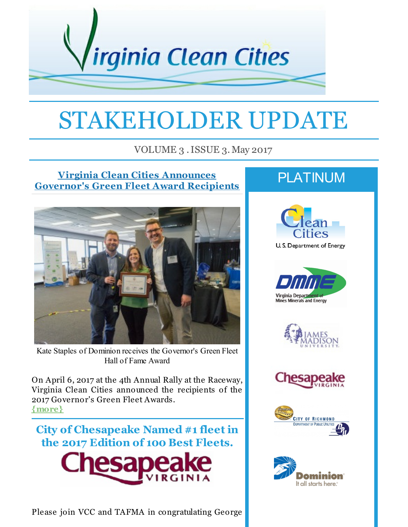

# STAKEHOLDER UPDATE

VOLUME 3 .ISSUE 3. May 2017

### **Virginia Clean Cities Announces [Governor's](http://r20.rs6.net/tn.jsp?f=001W3awvzAZSdkaMc3YI_9NlrhGmjWMCgniJZ5yiMXphP092YtW1JeGSDBYdsUZs161Fp3cyFl4r9EbAS0dnSyRPzX_A36b3ClTpPfaaW_GBMiSkLlLFCKBymMjlt7z-z6vUhxY9QezcXR8XPi39ZMV_aHQj_gg4f3jHMgmO0ahsKhiYJc0fE91HLZ-GkYMycmNipLm4qpVq2I34ZdIXsVva800wkJ_VQONSEERnkUXroB8UwQhqY8FRRKCr5v8gWSwN3aUKRhnah25waSFy9j_XYciJgmzP6ejl8ysvG-DmCKRWZp_KeiKqfxn_jPJkEV7tp27UiD97Z6kdx99oj_6WqEX_Q5LMNYgsfPNDPPBhQHDthrKakOfpUsaSz4j8Sojs3A_6cwYWbEy0U74rG02jnDyo3KTSEERwRRGFzzVHokYFf3SCMCvUw==&c=&ch=) Green Fleet Award Recipients**



Kate Staples of Dominion receives the Governor's Green Fleet Hall of Fame Award

On April 6, 2017 at the 4th Annual Rally at the Raceway, Virginia Clean Cities announced the recipients of the 2017 Governor's Green Fleet Awards. **[{more}](http://r20.rs6.net/tn.jsp?f=001W3awvzAZSdkaMc3YI_9NlrhGmjWMCgniJZ5yiMXphP092YtW1JeGSDBYdsUZs161Fp3cyFl4r9EbAS0dnSyRPzX_A36b3ClTpPfaaW_GBMiSkLlLFCKBymMjlt7z-z6vUhxY9QezcXR8XPi39ZMV_aHQj_gg4f3jHMgmO0ahsKhiYJc0fE91HLZ-GkYMycmNipLm4qpVq2I34ZdIXsVva800wkJ_VQONSEERnkUXroB8UwQhqY8FRRKCr5v8gWSwN3aUKRhnah25waSFy9j_XYciJgmzP6ejl8ysvG-DmCKRWZp_KeiKqfxn_jPJkEV7tp27UiD97Z6kdx99oj_6WqEX_Q5LMNYgsfPNDPPBhQHDthrKakOfpUsaSz4j8Sojs3A_6cwYWbEy0U74rG02jnDyo3KTSEERwRRGFzzVHokYFf3SCMCvUw==&c=&ch=)**



Please join VCC and TAFMA in congratulating George

# PLATINUM











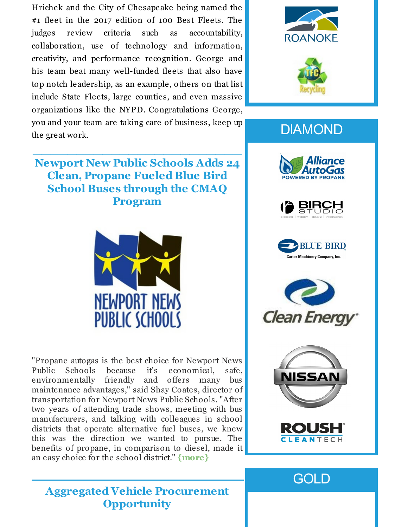Hrichek and the City of Chesapeake being named the #1 fleet in the 2017 edition of 100 Best Fleets. The judges review criteria such as accountability, collaboration, use of technology and information, creativity, and performance recognition. George and his team beat many well-funded fleets that also have top notch leadership, as an example, others on that list include State Fleets, large counties, and even massive organizations like the NYPD. Congratulations George, you and your team are taking care of business, keep up the great work.  $\overline{\phantom{a}}$  , which is a set of the set of the set of the set of the set of the set of the set of the set of the set of the set of the set of the set of the set of the set of the set of the set of the set of the set of th

**Newport New Public Schools Adds 24 Clean, Propane Fueled Blue Bird School Buses through the CMAQ**

**ROANOKE** 



# **DIAMOND**













**GOLD** 

**Aggregated Vehicle Procurement Opportunity**

**Program**



"Propane autogas is the best choice for Newport News Public Schools because it's economical, safe, environmentally friendly and offers many bus maintenance advantages," said Shay Coates, director of transportation for Newport News Public Schools. "After two years of attending trade shows, meeting with bus manufacturers, and talking with colleagues in school districts that operate alternative fuel buses, we knew this was the direction we wanted to pursue. The benefits of propane, in comparison to diesel, made it an easy choice for the school district." **[{more}](http://r20.rs6.net/tn.jsp?f=001W3awvzAZSdkaMc3YI_9NlrhGmjWMCgniJZ5yiMXphP092YtW1JeGSDBYdsUZs1611cGCqlqz9jsSr55QNY-SYtVSVPU0jfo19IzRG9aGf9NqbTaQoxDSz21saPA9z2fvDDS910MKUbye6yHfzQI6zlonDddgdiGtqUNAL3A_Z5lOYWoosPSqYteTsH6cMy06CEUFInCepCIlaUphr43AfqKMrj9qgwWSapd_818q33eEmQQ_j_LIVdoJGKMBdbk9bpn0G6NH3u_9UOvjgYKcI81dR_UpVvh09FogE4G0e2AkvWQRhrOCiey3iyW2-LGXK7rlAf2tlBWqutDOR-ZOAeG2gqWfbCDCmtYc6pfNy43ABH5a-HHgWQ==&c=&ch=)**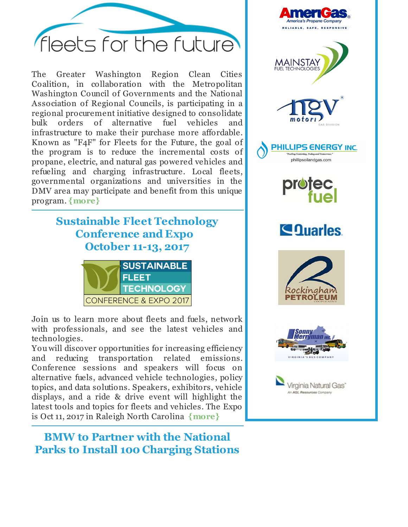

The Greater Washington Region Clean Cities Coalition, in collaboration with the Metropolitan Washington Council of Governments and the National Association of Regional Councils, is participating in a regional procurement initiative designed to consolidate bulk orders of alternative fuel vehicles and infrastructure to make their purchase more affordable. Known as "F4F" for Fleets for the Future, the goal of the program is to reduce the incremental costs of propane, electric, and natural gas powered vehicles and refueling and charging infrastructure. Local fleets, governmental organizations and universities in the DMV area may participate and benefit from this unique program. **[{more}](http://r20.rs6.net/tn.jsp?f=001W3awvzAZSdkaMc3YI_9NlrhGmjWMCgniJZ5yiMXphP092YtW1JeGSDBYdsUZs16106OOy7CivpZ0E87mX7v8pGxdg7xFc_awgrqsW6g4VFiLBgbV4zrc8I64wBChUMKe8iFUA04HT5HaFYmSBCvOUqcdvDIDLmDy5u5Z05O7QgqurkVWzxTWwMPfysS6r4iOKDDRUNZaHSKtrfDOAo8B6LnWh5FmUn_1AwoIY6RIDbsSuQDCHa27bCFQ_mkviQwWBoNKVyMN7RQCPtYzBBQVxfoq1pgx4mVhQoJSAWk5smyUNTL4DyKgp_cpW4bk3rH8dY7irNMhdC5N4mf2iidga4Xh_jcNF48e&c=&ch=)**

# **Sustainable Fleet Technology Conference and Expo October 11-13, 2017**



Join us to learn more about fleets and fuels, network with professionals, and see the latest vehicles and technologies.

You will discover opportunities for increasing efficiency and reducing transportation related emissions. Conference sessions and speakers will focus on alternative fuels, advanced vehicle technologies, policy topics, and data solutions. Speakers, exhibitors, vehicle displays, and a ride & drive event will highlight the latest tools and topics for fleets and vehicles. The Expo is Oct 11, 2017 in Raleigh North Carolina **[{more}](http://r20.rs6.net/tn.jsp?f=001W3awvzAZSdkaMc3YI_9NlrhGmjWMCgniJZ5yiMXphP092YtW1JeGSDBYdsUZs161WcYdIx01CCxiaRDNxKQN5jbgiqfdOUVRs-Xdco_sqrVJg6w792q5NreHoBKlWbCUEbgxCOfq7AO9CNR_xItsW53PBlv2Xj5LPOca4WqXv8BlJ7e7EV42-mvIaA5XjHrgbCeUBrrDrdlD3t34QSm45Va293NhxFlGi1qMvYSo3Jerr_juVuKK4lfbPe39qfx78EXPzwSsfd-JvOuDnh_i76pD3XZvQQU0Cxtqkku4ZjcFBO5F1GGC7eeeofgjv4eqsryunxs7tflPJH004GTsgv72TJlonB_wT-0tnH593QiHCQxKi7GHp2_AOZe6iOGM9kffw7h4jis=&c=&ch=)**

**BMW to Partner with the National Parks to Install 100 Charging Stations**

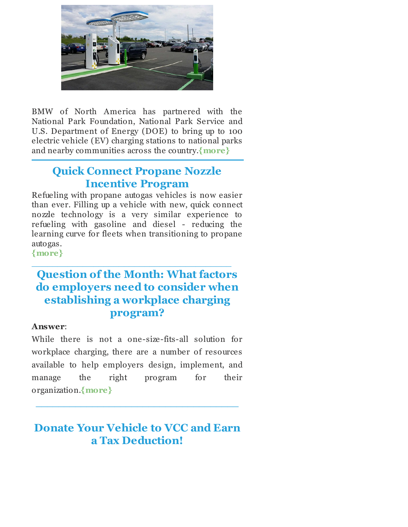

BMW of North America has partnered with the National Park Foundation, National Park Service and U.S. Department of Energy (DOE) to bring up to 100 electric vehicle (EV) charging stations to national parks and nearby communities across the country.**[{more}](http://r20.rs6.net/tn.jsp?f=001W3awvzAZSdkaMc3YI_9NlrhGmjWMCgniJZ5yiMXphP092YtW1JeGSDBYdsUZs161aIec55CfndLgG6LBlvKrSPU1WEzWIAGrNLmd3kB2QDYX1TGsiBqMkLa5oUHcOQO4gF7TEO8HstQNuuPfdQXyzQLvzXiBYz36R3UcpQu3t_ZWG8BAjUsRg-acuoJqkq0eGqTp5NZM14csMO4Bsi0NAPsIN1KKEXduIpxxCZYYrwMOnzyU2dutlsA0zPxYSMRbDXuweL73K4swruYYDeL5RpeyMt-YWTNYekEi9IAT1S0alpvZhTacP_slcMqYu_ITNITSpsral5wE5NdWlq6r8D5JjM2a6EQbGWb8S_oMJNrjEZTTCnSdpGiBqJK3T8mWl4pb_V4gyu9QOFpSrdo7bAYxT0zvnSiVj7GcWGeoGiPzU_hs1_xTjVVf1wHgV9w3&c=&ch=)**

### **Quick Connect Propane Nozzle Incentive Program**

Refueling with propane autogas vehicles is now easier than ever. Filling up a vehicle with new, quick connect nozzle technology is a very similar experience to refueling with gasoline and diesel - reducing the learning curve for fleets when transitioning to propane autogas.

**[{more}](http://r20.rs6.net/tn.jsp?f=001W3awvzAZSdkaMc3YI_9NlrhGmjWMCgniJZ5yiMXphP092YtW1JeGSDBYdsUZs1612H7AH5fp-rTjpPE2dDWmKdJsF48Evp1hKlzgxWc7XahlJLc1Im2aYNhXyPEYDRR5qMiJWOYHniryq0BtnEh57mcFGVXfFtoZH2pRStcx2vKYCPzIyflkJelC_QlP4h2zMPdnU1W7WDDiwU0659ZesoyIcSgjU33Q-1OtPjOa0W4S43GsPdner_5XhPqFGo_lfUDYhJMHbeZfS6tSYFE65ahYCLHdFIbq5Xx1135tmhkvyP1Ctcob46V4U5qpiB8lL5urCKQ_-hWEYeQtYCyqEx3tvYp8jQgcf3ix5rflzKMeZRXb63lfiETK0I-8onGNhbmPuLFX6YY=&c=&ch=)**

# **Question of the Month: What factors do employers need to consider when establishing a workplace charging program?**

 $\frac{1}{2}$  ,  $\frac{1}{2}$  ,  $\frac{1}{2}$  ,  $\frac{1}{2}$  ,  $\frac{1}{2}$  ,  $\frac{1}{2}$  ,  $\frac{1}{2}$  ,  $\frac{1}{2}$  ,  $\frac{1}{2}$  ,  $\frac{1}{2}$  ,  $\frac{1}{2}$  ,  $\frac{1}{2}$  ,  $\frac{1}{2}$  ,  $\frac{1}{2}$  ,  $\frac{1}{2}$  ,  $\frac{1}{2}$  ,  $\frac{1}{2}$  ,  $\frac{1}{2}$  ,  $\frac{1$ 

#### **Answer**:

While there is not a one-size-fits-all solution for workplace charging, there are a number of resources available to help employers design, implement, and manage the right program for their organization.**[{more}](http://r20.rs6.net/tn.jsp?f=001W3awvzAZSdkaMc3YI_9NlrhGmjWMCgniJZ5yiMXphP092YtW1JeGSDBYdsUZs161PGRX6d0CtuoNxh1U7-Ia-cKigQ1L3HMEy1JyivcO95NuOEIopXW-ZY18yFMa0p0t0G7aMwlvON-Hg4m7wOYH_TWttHSdTDyv1e1PmbOAPunVvbB77ivVLoboV8-V22hUNzzsijt5PfXjNbHNHke0eX6gdViqmp20Hkee5etFQspQH_rbnwQG2lYs5Uk1XpJMfEFF8MmHalR0UaIo2jh7eTe4EXRR4z9vUabCnp6-MJmJPxyVKZVakdp3JA5tubadV2TyQlgPlZL5zorOq6AL5P95O_ewqxtlZ06vIhg96djKIv5ZLOVxjZbpXBtzAsCyCjK1L6SV5HZx1lGmTX0piA==&c=&ch=)**

**Donate Your Vehicle to VCC and Earn a Tax Deduction!**

**\_\_\_\_\_\_\_\_\_\_\_\_\_\_\_\_\_\_\_\_\_\_\_\_\_\_\_\_\_\_\_\_\_\_\_\_**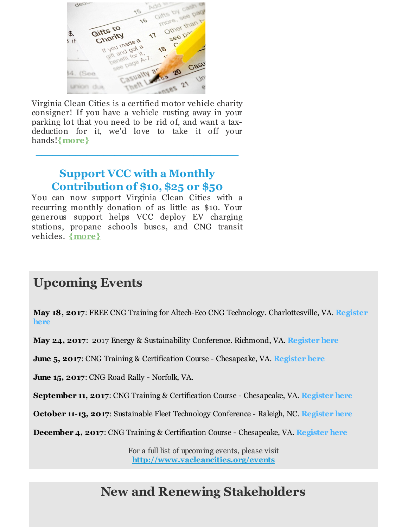

Virginia Clean Cities is a certified motor vehicle charity consigner! If you have a vehicle rusting away in your parking lot that you need to be rid of, and want a taxdeduction for it, we'd love to take it off your hands!**[{more}](http://r20.rs6.net/tn.jsp?f=001W3awvzAZSdkaMc3YI_9NlrhGmjWMCgniJZ5yiMXphP092YtW1JeGSPCj0MVfPAOZw1ONN9AywFwDDxpLIMcAkoghD-VCNsu73xLU4PBg6OPPqoW6bRQSE25j6zFyV-rs5bhTN2nqy_7reIUkW5mqp0-W9Mm4ooccIu6Q_aw3Q8G3Bu5l2b7Yu4zTkOI8nCsql_hqoqp0nGqLgmOn3_87tL42DJZVgArQWN-Vh-zaKR5H5eDvd1cxclPUTkw9vLzjfEykjiEYIKfslm3aMoCSeTiZlWUa7FYaI9DhHOJcH-lWM8DDNsLc4YJgLEr6gnsJ30qWL8VAU_N8irn46AoymRG6fzQSkyZ_E5m-_8aWI6JH5VmmVhD-vxzF9sQFW81PB9dwRY4Hk2GD9cvTDDA9BaKnlkghA66s6AObzD3qa1Rl2wDmdAwhJw==&c=&ch=)**

**\_\_\_\_\_\_\_\_\_\_\_\_\_\_\_\_\_\_\_\_\_\_\_\_\_\_\_\_\_\_\_\_\_\_\_\_**

## **Support VCC with a Monthly Contribution of \$10, \$25 or \$50**

You can now support Virginia Clean Cities with a recurring monthly donation of as little as \$10. Your generous support helps VCC deploy EV charging stations, propane schools buses, and CNG transit vehicles. **[{more}](http://r20.rs6.net/tn.jsp?f=001W3awvzAZSdkaMc3YI_9NlrhGmjWMCgniJZ5yiMXphP092YtW1JeGSLb-TiZF4CBCVfRi08CMHWrT9byiE1MqtJ7C3y0enAKoiTFuqOsAI0FTHIzYOvYItS5P5D8hf_FXvR3c7t5ooovh54Gt3o15MuLUybOYo7kOMj1oGnx1zC4bj89_iADRzgpRoEu6T8BMkDMNoXmEB2ZSH9KpC2OUqnxm0t4tUgXjsIUKI7FQ6FBEXj0iWxGqv4n6dOBovAWeXvXfjJSsTZT__Ht4ora0lZvsobApsx44eO9Vt5DS9G79HG_i1Owt43be_3qCdPXuwkgzlNXUvSgs_4krMjDM2VJOqk4wu8FY&c=&ch=)**

# **Upcoming Events**

**May 18, 2017**: FREE CNG Training for Altech-Eco CNG Technology. [Charlottesville,](http://r20.rs6.net/tn.jsp?f=001W3awvzAZSdkaMc3YI_9NlrhGmjWMCgniJZ5yiMXphP092YtW1JeGSDBYdsUZs161JveZTsJBKjDr3DRgpDdclQ3ov5TDcbHQ4cIIG6PYVLtm77hP17OQYPfXTytWr1l5IicAsm44LHapa3WJTANE1IA2rVWpk5S81IAY5jJ7_aj3XgnQHBdPeBuVhBvkgROeERe1kCUT2TFYe-rM4NhWihXkxoV2dyS4Jl1y0IvcTqvr9zsDNkXPLUzw2jwLVD6Cd8gbA_Czf6ntMbHh3yE8OT6NPELzXje1vvvs9rH6RysQG27yP8FMnUUId5y-8gOttLrYnbHYn1wECzxdZzhnPygblahIIr8DzcxR__fkZEWyADgXD1cm8-JRVnrpjK8mI_C5PSk3zLFRrKLwkcBQQcXq3ymL76EtA-1tIh7T5XGxXcxSEb2gvMujPmehpv2N75XUFb6Xxt83H_rRc8TNKOxPDUunQ9aMlCW9UGYVlybCBFXpaSaqMkNARhTvBinFGMw0L9C3mXY=&c=&ch=) VA. **Register here**

**May 24, 2017**: 2017 Energy & Sustainability Conference. Richmond, VA. **[Register](http://r20.rs6.net/tn.jsp?f=001W3awvzAZSdkaMc3YI_9NlrhGmjWMCgniJZ5yiMXphP092YtW1JeGSDBYdsUZs161DXt6mNh4FWDPkw2gNlnqhgoMaivR73fvl58vLnAS1o5XVBMt_0dpoOLVKc1MHbR4fNL9ATfK6booL9-Tlk-EcQ1IJh1CcAMLwfJsDaa0RadSBRtUnGwDeqiGQmLVpb97zgbEerb9LIq5rsktLAKF093dErlBR310sCNT_i5V0NueBwtcGwFCSmQIGPYMPO2x_tYySwRODvNc05w6tgTx8CEXkgbuNfHB_fAQwq1B32woOWS9ljhdHcZfEkwL1KASZIqVPhTOhXBy4EvXUpHGQGLTI7qxBg8BqeryLxKzbtP6doYy4YHN4lsufhFKuO9oSe6BWp40KdvYx36NUa4m7HcuwwlCIT7FyFBPZ5Z1Ia8=&c=&ch=) here**

**June 5, 2017**: CNG Training & Certification Course - Chesapeake, VA. **[Register](http://r20.rs6.net/tn.jsp?f=001W3awvzAZSdkaMc3YI_9NlrhGmjWMCgniJZ5yiMXphP092YtW1JeGSDjMpwJcNy_Y2pRS7rA6HJAfnTEqu12TOxrwcS56Ifh1GG_JWz9BjRIAJmCJeXRN-qYM-obkkt4xcr-R1RfIECrUMDno3uaO12vugpL92zcVBI7Wgl8OgsjhK7vUlUbdoCZoJPrv3ELohMB3WljuUQkUa2p_35BMMFIpfeS1fVPNH_hqB_7cKOmLOj_OWKwFLg5_zmUy_v_FJQexPXKnZWVWRxQEv1SpV1HdMN-ZqOWocZijHFgY-5CD8LMDtCdKJBb6TLSrhIkuE3HZkOf4bJHjTydukE4DUbiXz2Cvyqmu-xE2zcd48kYfYLqb_Oei9CMO2qZ858os0CPBKz3_FXijEr3PoaXxUKk21aN2ACxTOzujL5t2rTbVzRmyvjhIQ-Cc8Jr29tfHkiEkTnF05Yz0Kj26W49CRNDvjLplB5u2Uc_ngRHPz8KO7ck7O6Ppj8_oBgj0Jor_&c=&ch=) here**

**June 15, 2017**: CNG Road Rally - Norfolk, VA.

**September 11, 2017**: CNG Training & Certification Course - Chesapeake, VA. **[Register](http://r20.rs6.net/tn.jsp?f=001W3awvzAZSdkaMc3YI_9NlrhGmjWMCgniJZ5yiMXphP092YtW1JeGSDjMpwJcNy_YqFCFY8BdAOEOK3V5zHknv14Hij4M48QU5xcZsYl3BWDfM7WdizDk8DC-lxi2aSQphBsQePh3F-OPluJk8y13kZEV71B087CV0FRTKpM0KPTtrn9mNULNt-tBwRtCxn-QgsvD1RvR8YDDytgLw-ym2Bs4c22Uws4BnvjwXi_ewnhiOo6ad9dp2mqfxDoLkys__n9w1BHELYl6nsYndX87Z5-AC6xYH7cpevBj-BjZIDwCkQxDGQ5TQfNUunYPch9WFnYY9BorpeDRfGV6YAHlYxBk8KvB2e31_reDr-1CqZmGknGKf7UHxHxd-lHjSxHUzqfkflNfMdyIAHkfx8mJLxbPRgbJtB3fMLSRVkSdWrNozzp74qb4iR1mkao-sKIJFLLsH4qUyLZP-S3Nol330PBHfpaLt5aLjRTz-C0-Vj3c8QYhqJ8-p8jsNTRDK37c&c=&ch=) here**

**October 11-13, 2017**: Sustainable Fleet Technology Conference - Raleigh, NC. **[Register](http://r20.rs6.net/tn.jsp?f=001W3awvzAZSdkaMc3YI_9NlrhGmjWMCgniJZ5yiMXphP092YtW1JeGSDBYdsUZs161RwXgafYUDL6v2Ka26d84zYmbmbQX1HNi9MSCf3pbgqvpwTdyItoCb7pJN_OhMo4SNLggisYbiRzz-0LsMtAvmwft29-W-5xxsPFlPJJv5XBrXXTg6uv6PhhqwOkjgxeQHw-Q9iuthFSqhLB8e_stUPAVvIKlDgskAr3tgjaNSQymfVAgygszOSxczMkQq6WnG8uLfmBXnpWxovSeCJOo4w29Z5q7NoPXfZ9QdpZ74iUsKTppQmEz63jafGjzRCJmZcLEycwfh3p6Ys1jWs9K4g==&c=&ch=) here**

**December 4, 2017**: CNG Training & Certification Course - Chesapeake, VA. **[Register](http://r20.rs6.net/tn.jsp?f=001W3awvzAZSdkaMc3YI_9NlrhGmjWMCgniJZ5yiMXphP092YtW1JeGSDjMpwJcNy_Ya0DYYoee224e4y-ubXwHPK0t3IxC1eYyAYQ0crWdEXPTCmz8qBBAYtrVOH-Ztx2LNAVnLX1k2b2h9SsjBSN7O-An8bhhogQw-hkohCuN31jtD6Qmk1ugc6vM6tY9N4ZRhC2KsCR2X_iBW4J--_TZuLttLy-xPdnUwa6aYoqwyr2AqC7tAZyKDiO2lJB7gXGz29Hc_ss9JIRzzLu36C5-yo6UZQuCydPyOXfjDNAeq8zQNbDrh2ABIWZQnSCs2CcO69bKjJO-XQ011k7wCjXJqwndLoBJ1IdHvAQKWvsR0w0QF-iFnP7Xs2_oC2-3ynPKtydXmfSd5Ht2j2AQ8ZcPFWdVI_kl3KWMR0uBYvPiSoDiF2FE_wiQ_7mFlonh7gOQNCANV41RfzH4tEOdRLI49inSfenQsyHEkqr0dcx65nK9Tm46M4Cdx27Fi9ZMCQKz&c=&ch=) here**

For a full list of upcoming events, please visit **[http://www.vacleancities.org/events](http://r20.rs6.net/tn.jsp?f=001W3awvzAZSdkaMc3YI_9NlrhGmjWMCgniJZ5yiMXphP092YtW1JeGSLDgS3U_fq0VshfoAXWBB5qPhjgABDe2EOc6SWMzJGPQLt9gZ4MQlsXSXxPvZIXUC82-ZB7zTITL9XHYR8NRR2ENUV-tFj7vNcJrzA1hgq6tE_iEm1h8Bvj2_09paiOShX1_mvA_fsI04bUKzdUl49k7nKmbOxHuNM_Ju-nAlI77fPvLP_40OI-G0cnNn-w-U_H2koJWEeYQC29hXSNzhQSV2sSUBKBd4KY4LkuaKDo6QMsDQAnXHjU_b5FBBBiVOWfpHZ2jsL3WxOCKST3QANtxEV3PlTtrvg==&c=&ch=)**

# **New and Renewing Stakeholders**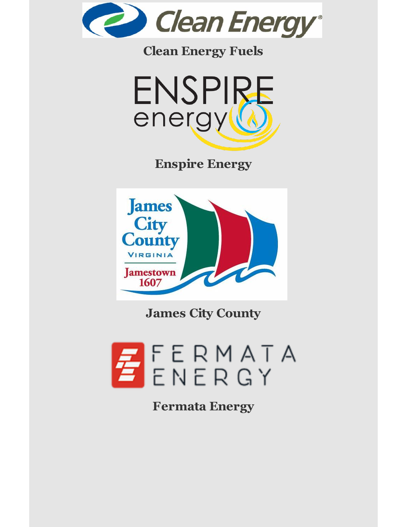

# **Clean Energy Fuels**



**Enspire Energy**



**James City County**



**Fermata Energy**